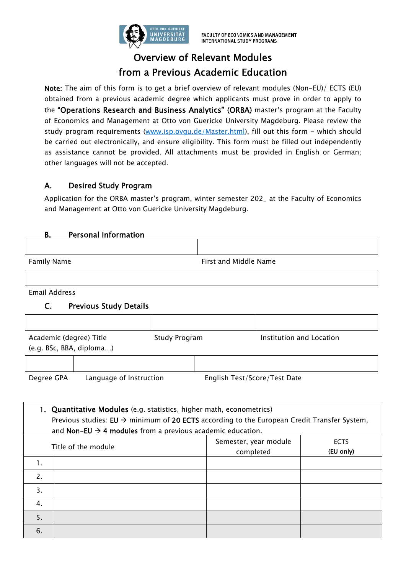

# Overview of Relevant Modules from a Previous Academic Education

Note: The aim of this form is to get a brief overview of relevant modules (Non-EU)/ ECTS (EU) obtained from a previous academic degree which applicants must prove in order to apply to the "Operations Research and Business Analytics" (ORBA) master's program at the Faculty of Economics and Management at Otto von Guericke University Magdeburg. Please review the study program requirements (www.isp.ovgu.de/Master.html), fill out this form - which should be carried out electronically, and ensure eligibility. This form must be filled out independently as assistance cannot be provided. All attachments must be provided in English or German; other languages will not be accepted.

## A. Desired Study Program

Application for the ORBA master's program, winter semester 202\_ at the Faculty of Economics and Management at Otto von Guericke University Magdeburg.

#### B. Personal Information

Family Name **Filter and Middle Name** First and Middle Name

Email Address

#### C. Previous Study Details

| Academic (degree) Title<br>(e.g. BSc, BBA, diploma) |                         | Study Program |                              | Institution and Location |
|-----------------------------------------------------|-------------------------|---------------|------------------------------|--------------------------|
|                                                     |                         |               |                              |                          |
| Degree GPA                                          | Language of Instruction |               | English Test/Score/Test Date |                          |

| 1. Quantitative Modules (e.g. statistics, higher math, econometrics)<br>Previous studies: $EU \rightarrow$ minimum of 20 ECTS according to the European Credit Transfer System,<br>and Non-EU $\rightarrow$ 4 modules from a previous academic education. |  |                                    |                          |
|-----------------------------------------------------------------------------------------------------------------------------------------------------------------------------------------------------------------------------------------------------------|--|------------------------------------|--------------------------|
| Title of the module                                                                                                                                                                                                                                       |  | Semester, year module<br>completed | <b>ECTS</b><br>(EU only) |
| 1.                                                                                                                                                                                                                                                        |  |                                    |                          |
| 2.                                                                                                                                                                                                                                                        |  |                                    |                          |
| 3.                                                                                                                                                                                                                                                        |  |                                    |                          |
| 4.                                                                                                                                                                                                                                                        |  |                                    |                          |
| 5.                                                                                                                                                                                                                                                        |  |                                    |                          |
| 6.                                                                                                                                                                                                                                                        |  |                                    |                          |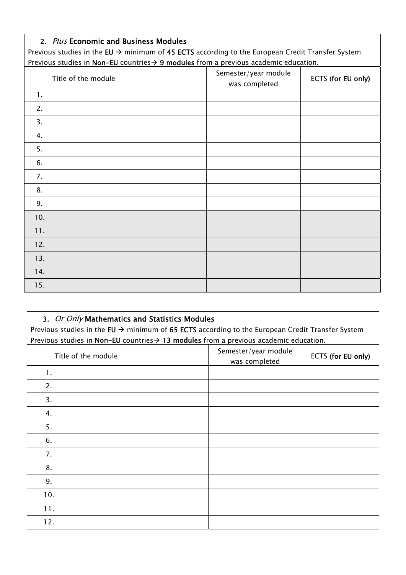### 2. Plus Economic and Business Modules

Previous studies in the EU  $\rightarrow$  minimum of 45 ECTS according to the European Credit Transfer System Previous studies in Non-EU countries  $\rightarrow$  9 modules from a previous academic education.

| Title of the module |  | Semester/year module<br>was completed | ECTS (for EU only) |
|---------------------|--|---------------------------------------|--------------------|
| 1.                  |  |                                       |                    |
| 2.                  |  |                                       |                    |
| 3.                  |  |                                       |                    |
| 4.                  |  |                                       |                    |
| 5.                  |  |                                       |                    |
| 6.                  |  |                                       |                    |
| 7.                  |  |                                       |                    |
| 8.                  |  |                                       |                    |
| 9.                  |  |                                       |                    |
| 10.                 |  |                                       |                    |
| 11.                 |  |                                       |                    |
| 12.                 |  |                                       |                    |
| 13.                 |  |                                       |                    |
| 14.                 |  |                                       |                    |
| 15.                 |  |                                       |                    |

| 3. Or Only Mathematics and Statistics Modules<br>Previous studies in the EU $\rightarrow$ minimum of 65 ECTS according to the European Credit Transfer System<br>Previous studies in Non-EU countries $\rightarrow$ 13 modules from a previous academic education. |  |                                       |                    |
|--------------------------------------------------------------------------------------------------------------------------------------------------------------------------------------------------------------------------------------------------------------------|--|---------------------------------------|--------------------|
| Title of the module                                                                                                                                                                                                                                                |  | Semester/year module<br>was completed | ECTS (for EU only) |
| 1.                                                                                                                                                                                                                                                                 |  |                                       |                    |
| 2.                                                                                                                                                                                                                                                                 |  |                                       |                    |
| 3.                                                                                                                                                                                                                                                                 |  |                                       |                    |
| 4.                                                                                                                                                                                                                                                                 |  |                                       |                    |
| 5.                                                                                                                                                                                                                                                                 |  |                                       |                    |
| 6.                                                                                                                                                                                                                                                                 |  |                                       |                    |
| 7.                                                                                                                                                                                                                                                                 |  |                                       |                    |
| 8.                                                                                                                                                                                                                                                                 |  |                                       |                    |
| 9.                                                                                                                                                                                                                                                                 |  |                                       |                    |
| 10.                                                                                                                                                                                                                                                                |  |                                       |                    |
| 11.                                                                                                                                                                                                                                                                |  |                                       |                    |
| 12.                                                                                                                                                                                                                                                                |  |                                       |                    |